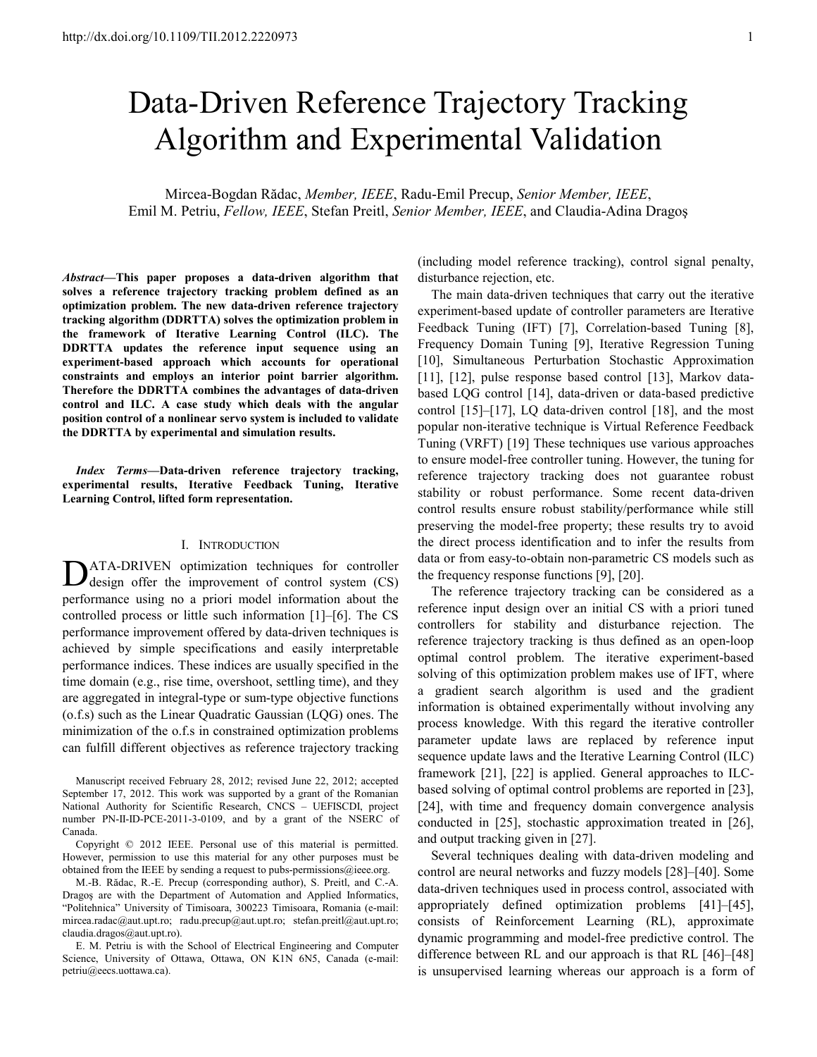# Data-Driven Reference Trajectory Tracking Algorithm and Experimental Validation

Mircea-Bogdan Rădac, *Member, IEEE*, Radu-Emil Precup, *Senior Member, IEEE*, Emil M. Petriu, *Fellow, IEEE*, Stefan Preitl, *Senior Member, IEEE*, and Claudia-Adina Dragoş

*Abstract***—This paper proposes a data-driven algorithm that solves a reference trajectory tracking problem defined as an optimization problem. The new data-driven reference trajectory tracking algorithm (DDRTTA) solves the optimization problem in the framework of Iterative Learning Control (ILC). The DDRTTA updates the reference input sequence using an experiment-based approach which accounts for operational constraints and employs an interior point barrier algorithm. Therefore the DDRTTA combines the advantages of data-driven control and ILC. A case study which deals with the angular position control of a nonlinear servo system is included to validate the DDRTTA by experimental and simulation results.** 

*Index Terms***—Data-driven reference trajectory tracking, experimental results, Iterative Feedback Tuning, Iterative Learning Control, lifted form representation.** 

#### I. INTRODUCTION

ATA-DRIVEN optimization techniques for controller DATA-DRIVEN optimization techniques for controller<br>design offer the improvement of control system (CS) performance using no a priori model information about the controlled process or little such information [1]–[6]. The CS performance improvement offered by data-driven techniques is achieved by simple specifications and easily interpretable performance indices. These indices are usually specified in the time domain (e.g., rise time, overshoot, settling time), and they are aggregated in integral-type or sum-type objective functions (o.f.s) such as the Linear Quadratic Gaussian (LQG) ones. The minimization of the o.f.s in constrained optimization problems can fulfill different objectives as reference trajectory tracking (including model reference tracking), control signal penalty, disturbance rejection, etc.

The main data-driven techniques that carry out the iterative experiment-based update of controller parameters are Iterative Feedback Tuning (IFT) [7], Correlation-based Tuning [8], Frequency Domain Tuning [9], Iterative Regression Tuning [10], Simultaneous Perturbation Stochastic Approximation [11], [12], pulse response based control [13], Markov databased LQG control [14], data-driven or data-based predictive control [15]–[17], LQ data-driven control [18], and the most popular non-iterative technique is Virtual Reference Feedback Tuning (VRFT) [19] These techniques use various approaches to ensure model-free controller tuning. However, the tuning for reference trajectory tracking does not guarantee robust stability or robust performance. Some recent data-driven control results ensure robust stability/performance while still preserving the model-free property; these results try to avoid the direct process identification and to infer the results from data or from easy-to-obtain non-parametric CS models such as the frequency response functions [9], [20].

The reference trajectory tracking can be considered as a reference input design over an initial CS with a priori tuned controllers for stability and disturbance rejection. The reference trajectory tracking is thus defined as an open-loop optimal control problem. The iterative experiment-based solving of this optimization problem makes use of IFT, where a gradient search algorithm is used and the gradient information is obtained experimentally without involving any process knowledge. With this regard the iterative controller parameter update laws are replaced by reference input sequence update laws and the Iterative Learning Control (ILC) framework [21], [22] is applied. General approaches to ILCbased solving of optimal control problems are reported in [23], [24], with time and frequency domain convergence analysis conducted in [25], stochastic approximation treated in [26], and output tracking given in [27].

Several techniques dealing with data-driven modeling and control are neural networks and fuzzy models [28]–[40]. Some data-driven techniques used in process control, associated with appropriately defined optimization problems [41]–[45], consists of Reinforcement Learning (RL), approximate dynamic programming and model-free predictive control. The difference between RL and our approach is that RL [46]–[48] is unsupervised learning whereas our approach is a form of

Manuscript received February 28, 2012; revised June 22, 2012; accepted September 17, 2012. This work was supported by a grant of the Romanian National Authority for Scientific Research, CNCS – UEFISCDI, project number PN-II-ID-PCE-2011-3-0109, and by a grant of the NSERC of Canada.

Copyright © 2012 IEEE. Personal use of this material is permitted. However, permission to use this material for any other purposes must be obtained from the IEEE by sending a request to pubs-permissions@ieee.org.

M.-B. Rădac, R.-E. Precup (corresponding author), S. Preitl, and C.-A. Dragoş are with the Department of Automation and Applied Informatics, "Politehnica" University of Timisoara, 300223 Timisoara, Romania (e-mail: mircea.radac@aut.upt.ro; radu.precup@aut.upt.ro; stefan.preitl@aut.upt.ro; claudia.dragos@aut.upt.ro).

E. M. Petriu is with the School of Electrical Engineering and Computer Science, University of Ottawa, Ottawa, ON K1N 6N5, Canada (e-mail: petriu@eecs.uottawa.ca).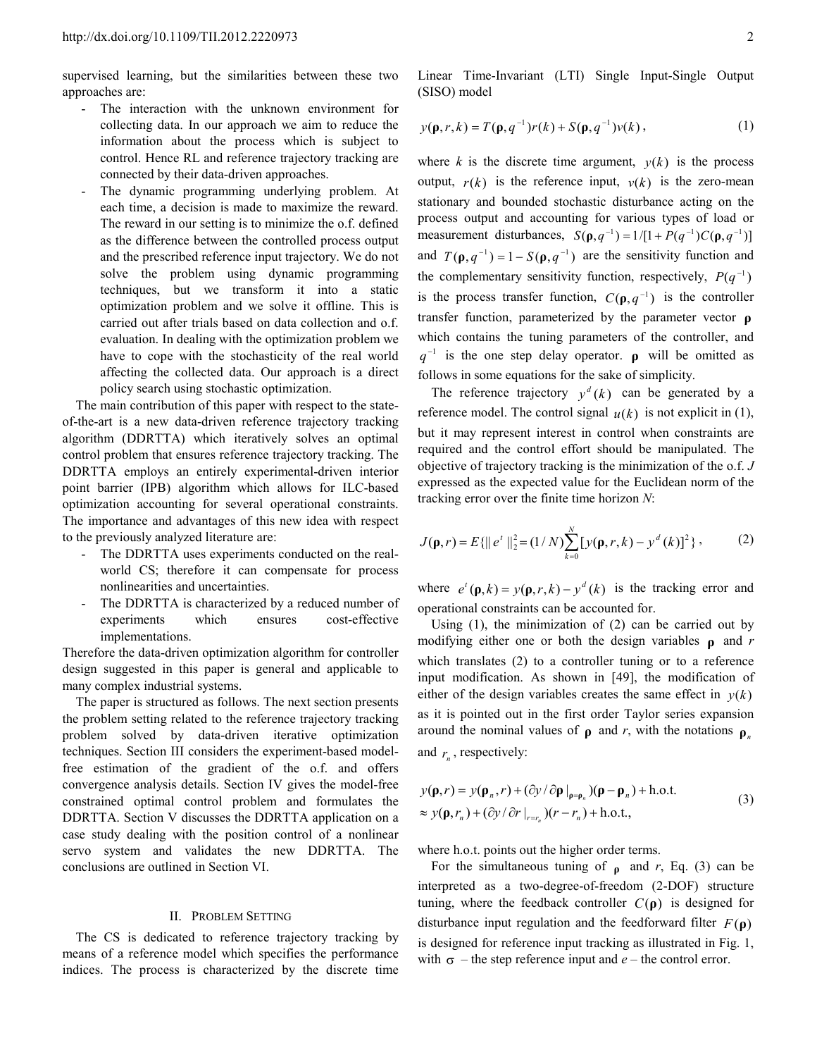supervised learning, but the similarities between these two approaches are:

- The interaction with the unknown environment for collecting data. In our approach we aim to reduce the information about the process which is subject to control. Hence RL and reference trajectory tracking are connected by their data-driven approaches.
- The dynamic programming underlying problem. At each time, a decision is made to maximize the reward. The reward in our setting is to minimize the o.f. defined as the difference between the controlled process output and the prescribed reference input trajectory. We do not solve the problem using dynamic programming techniques, but we transform it into a static optimization problem and we solve it offline. This is carried out after trials based on data collection and o.f. evaluation. In dealing with the optimization problem we have to cope with the stochasticity of the real world affecting the collected data. Our approach is a direct policy search using stochastic optimization.

The main contribution of this paper with respect to the stateof-the-art is a new data-driven reference trajectory tracking algorithm (DDRTTA) which iteratively solves an optimal control problem that ensures reference trajectory tracking. The DDRTTA employs an entirely experimental-driven interior point barrier (IPB) algorithm which allows for ILC-based optimization accounting for several operational constraints. The importance and advantages of this new idea with respect to the previously analyzed literature are:

- The DDRTTA uses experiments conducted on the realworld CS; therefore it can compensate for process nonlinearities and uncertainties.
- The DDRTTA is characterized by a reduced number of experiments which ensures cost-effective implementations.

Therefore the data-driven optimization algorithm for controller design suggested in this paper is general and applicable to many complex industrial systems.

The paper is structured as follows. The next section presents the problem setting related to the reference trajectory tracking problem solved by data-driven iterative optimization techniques. Section III considers the experiment-based modelfree estimation of the gradient of the o.f. and offers convergence analysis details. Section IV gives the model-free constrained optimal control problem and formulates the DDRTTA. Section V discusses the DDRTTA application on a case study dealing with the position control of a nonlinear servo system and validates the new DDRTTA. The conclusions are outlined in Section VI.

### II. PROBLEM SETTING

The CS is dedicated to reference trajectory tracking by means of a reference model which specifies the performance indices. The process is characterized by the discrete time

Linear Time-Invariant (LTI) Single Input-Single Output (SISO) model

$$
y(\mathbf{p}, r, k) = T(\mathbf{p}, q^{-1})r(k) + S(\mathbf{p}, q^{-1})v(k),
$$
 (1)

where *k* is the discrete time argument,  $y(k)$  is the process output,  $r(k)$  is the reference input,  $v(k)$  is the zero-mean stationary and bounded stochastic disturbance acting on the process output and accounting for various types of load or measurement disturbances,  $S(\rho, q^{-1}) = 1/[1 + P(q^{-1})C(\rho, q^{-1})]$ and  $T(\rho, q^{-1}) = 1 - S(\rho, q^{-1})$  are the sensitivity function and the complementary sensitivity function, respectively,  $P(q^{-1})$ is the process transfer function,  $C(\rho, q^{-1})$  is the controller transfer function, parameterized by the parameter vector **ρ** which contains the tuning parameters of the controller, and  $q^{-1}$  is the one step delay operator. **ρ** will be omitted as follows in some equations for the sake of simplicity.

The reference trajectory  $y^d$  (*k*) can be generated by a reference model. The control signal  $u(k)$  is not explicit in (1), but it may represent interest in control when constraints are required and the control effort should be manipulated. The objective of trajectory tracking is the minimization of the o.f. *J* expressed as the expected value for the Euclidean norm of the tracking error over the finite time horizon *N*:

$$
J(\mathbf{p}, r) = E\{\|e^{t}\|_{2}^{2} = (1/N)\sum_{k=0}^{N} [y(\mathbf{p}, r, k) - y^{d}(k)]^{2}\},
$$
 (2)

where  $e^{t}(\mathbf{p}, k) = y(\mathbf{p}, r, k) - y^{d}(k)$  is the tracking error and operational constraints can be accounted for.

Using  $(1)$ , the minimization of  $(2)$  can be carried out by modifying either one or both the design variables **ρ** and *r* which translates (2) to a controller tuning or to a reference input modification. As shown in [49], the modification of either of the design variables creates the same effect in  $y(k)$ as it is pointed out in the first order Taylor series expansion around the nominal values of **ρ** and *r*, with the notations **ρ**<sub>*n*</sub> and  $r_n$ , respectively:

$$
y(\mathbf{p},r) = y(\mathbf{p}_n,r) + (\partial y/\partial \mathbf{p}|_{\mathbf{p}=\mathbf{p}_n})(\mathbf{p}-\mathbf{p}_n) + \text{h.o.t.}
$$
  
\n
$$
\approx y(\mathbf{p},r_n) + (\partial y/\partial r|_{r=r_n})(r-r_n) + \text{h.o.t.},
$$
\n(3)

where h.o.t. points out the higher order terms.

For the simultaneous tuning of **ρ** and *r*, Eq. (3) can be interpreted as a two-degree-of-freedom (2-DOF) structure tuning, where the feedback controller  $C(\rho)$  is designed for disturbance input regulation and the feedforward filter  $F(\rho)$ is designed for reference input tracking as illustrated in Fig. 1, with  $\sigma$  – the step reference input and  $e$  – the control error.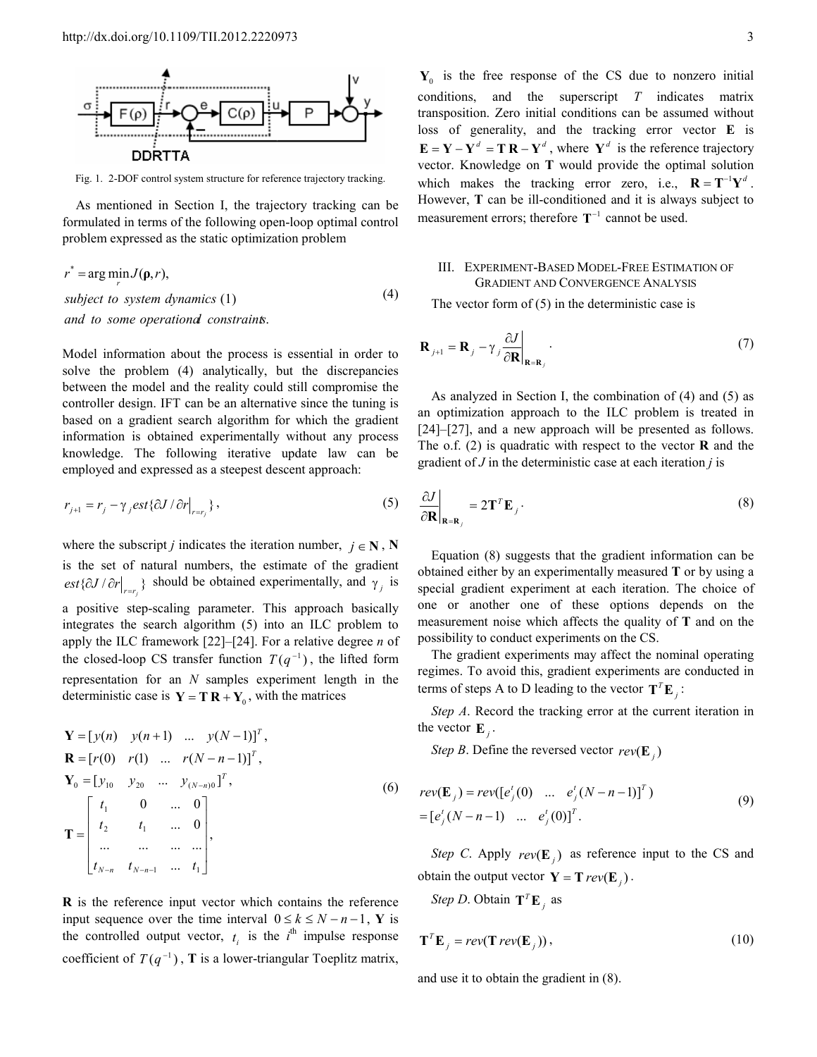

Fig. 1. 2-DOF control system structure for reference trajectory tracking.

As mentioned in Section I, the trajectory tracking can be formulated in terms of the following open-loop optimal control problem expressed as the static optimization problem

$$
r^* = \arg\min_{r} J(\mathbf{p}, r),
$$
  
subject to system dynamics (1) (4)  
and to some operational constraints.

Model information about the process is essential in order to solve the problem (4) analytically, but the discrepancies between the model and the reality could still compromise the controller design. IFT can be an alternative since the tuning is based on a gradient search algorithm for which the gradient information is obtained experimentally without any process knowledge. The following iterative update law can be employed and expressed as a steepest descent approach:

$$
r_{j+1} = r_j - \gamma_j \text{est} \{\partial J / \partial r \big|_{r=r_j} \},\tag{5}
$$

where the subscript *j* indicates the iteration number,  $j \in \mathbb{N}$ , **N** is the set of natural numbers, the estimate of the gradient  $ext{\{\partial J/\partial r\}}_{r=r_j}$  should be obtained experimentally, and  $\gamma_j$  is a positive step-scaling parameter. This approach basically integrates the search algorithm (5) into an ILC problem to apply the ILC framework [22]–[24]. For a relative degree *n* of the closed-loop CS transfer function  $T(q^{-1})$ , the lifted form representation for an *N* samples experiment length in the deterministic case is  $Y = T R + Y_0$ , with the matrices

$$
\mathbf{Y} = [y(n) \quad y(n+1) \quad \dots \quad y(N-1)]^{T},
$$
\n
$$
\mathbf{R} = [r(0) \quad r(1) \quad \dots \quad r(N-n-1)]^{T},
$$
\n
$$
\mathbf{Y}_{0} = [y_{10} \quad y_{20} \quad \dots \quad y_{(N-n)0}]^{T},
$$
\n
$$
\mathbf{T} = \begin{bmatrix} t_{1} & 0 & \dots & 0 \\ t_{2} & t_{1} & \dots & 0 \\ \dots & \dots & \dots & \dots \\ t_{N-n} & t_{N-n-1} & \dots & t_{1} \end{bmatrix},
$$
\n(6)

**R** is the reference input vector which contains the reference input sequence over the time interval  $0 \le k \le N - n - 1$ , **Y** is the controlled output vector,  $t_i$  is the  $i^{\text{th}}$  impulse response coefficient of  $T(q^{-1})$ , **T** is a lower-triangular Toeplitz matrix,

 $Y_0$  is the free response of the CS due to nonzero initial conditions, and the superscript *T* indicates matrix transposition. Zero initial conditions can be assumed without loss of generality, and the tracking error vector **E** is  $\mathbf{E} = \mathbf{Y} - \mathbf{Y}^d = \mathbf{T} \mathbf{R} - \mathbf{Y}^d$ , where  $\mathbf{Y}^d$  is the reference trajectory vector. Knowledge on **T** would provide the optimal solution which makes the tracking error zero, i.e.,  $\mathbf{R} = \mathbf{T}^{-1} \mathbf{Y}^{d}$ . However, **T** can be ill-conditioned and it is always subject to measurement errors; therefore  $T^{-1}$  cannot be used.

## III. EXPERIMENT-BASED MODEL-FREE ESTIMATION OF GRADIENT AND CONVERGENCE ANALYSIS

The vector form of (5) in the deterministic case is

$$
\mathbf{R}_{j+1} = \mathbf{R}_{j} - \gamma_{j} \frac{\partial J}{\partial \mathbf{R}}\Big|_{\mathbf{R} = \mathbf{R}_{j}}.
$$
 (7)

As analyzed in Section I, the combination of (4) and (5) as an optimization approach to the ILC problem is treated in [24]–[27], and a new approach will be presented as follows. The o.f. (2) is quadratic with respect to the vector **R** and the gradient of *J* in the deterministic case at each iteration *j* is

$$
\left. \frac{\partial J}{\partial \mathbf{R}} \right|_{\mathbf{R} = \mathbf{R}_j} = 2 \mathbf{T}^T \mathbf{E}_j \,. \tag{8}
$$

Equation (8) suggests that the gradient information can be obtained either by an experimentally measured **T** or by using a special gradient experiment at each iteration. The choice of one or another one of these options depends on the measurement noise which affects the quality of **T** and on the possibility to conduct experiments on the CS.

The gradient experiments may affect the nominal operating regimes. To avoid this, gradient experiments are conducted in terms of steps A to D leading to the vector  $T^T \mathbf{E}_j$ :

*Step A*. Record the tracking error at the current iteration in the vector  $\mathbf{E}_j$ .

*Step B*. Define the reversed vector  $rev(\mathbf{E}_j)$ 

$$
rev(\mathbf{E}_j) = rev([e'_j(0) \dots e'_j(N-n-1)]^T)
$$
  
=  $[e'_j(N-n-1) \dots e'_j(0)]^T$ . (9)

*Step C*. Apply  $rev(\mathbf{E}_j)$  as reference input to the CS and obtain the output vector  $Y = T \, rev(E_j)$ .

*Step D*. Obtain  $T^T E_j$  as

$$
\mathbf{T}^T \mathbf{E}_j = rev(\mathbf{T} rev(\mathbf{E}_j)), \qquad (10)
$$

and use it to obtain the gradient in (8).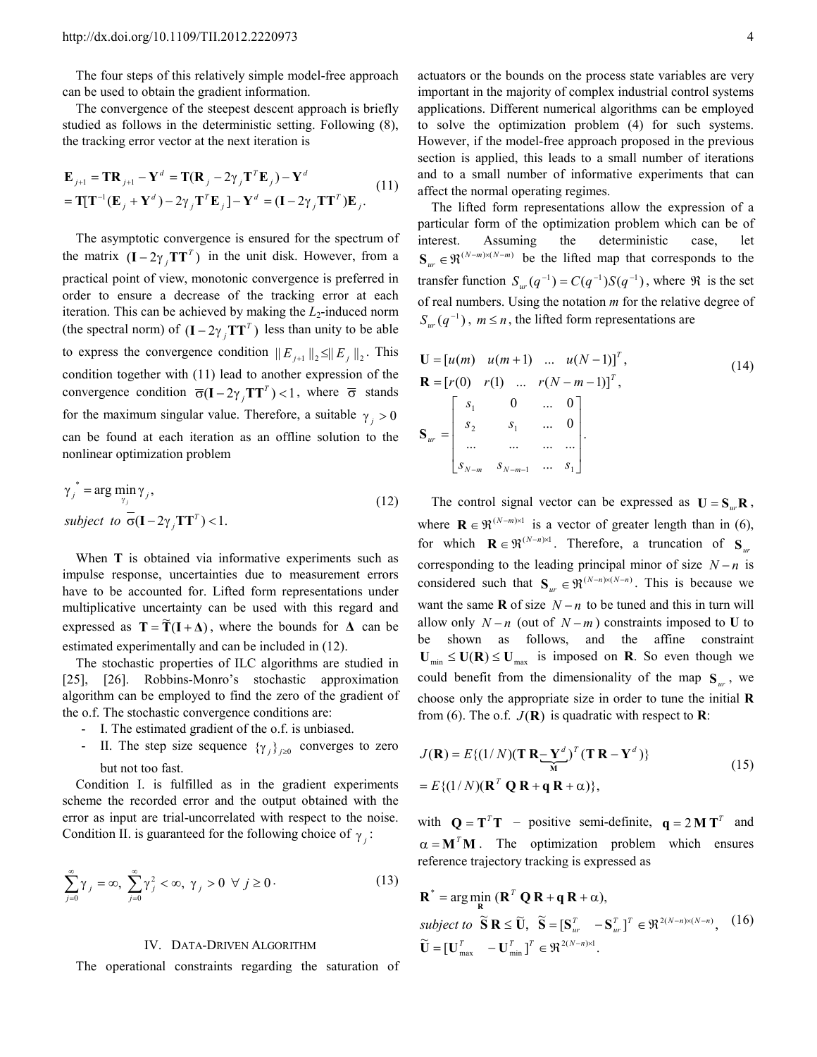The four steps of this relatively simple model-free approach can be used to obtain the gradient information.

The convergence of the steepest descent approach is briefly studied as follows in the deterministic setting. Following (8), the tracking error vector at the next iteration is

$$
\mathbf{E}_{j+1} = \mathbf{T} \mathbf{R}_{j+1} - \mathbf{Y}^d = \mathbf{T} (\mathbf{R}_j - 2\gamma_j \mathbf{T}^T \mathbf{E}_j) - \mathbf{Y}^d
$$
  
= 
$$
\mathbf{T} [\mathbf{T}^{-1} (\mathbf{E}_j + \mathbf{Y}^d) - 2\gamma_j \mathbf{T}^T \mathbf{E}_j] - \mathbf{Y}^d = (\mathbf{I} - 2\gamma_j \mathbf{T} \mathbf{T}^T) \mathbf{E}_j.
$$
 (11)

The asymptotic convergence is ensured for the spectrum of the matrix  $(I - 2\gamma_j T T^T)$  in the unit disk. However, from a practical point of view, monotonic convergence is preferred in order to ensure a decrease of the tracking error at each iteration. This can be achieved by making the *L*<sub>2</sub>-induced norm (the spectral norm) of  $(I - 2\gamma_j TT^T)$  less than unity to be able to express the convergence condition  $||E_{j+1}||_2 \le ||E_j||_2$ . This condition together with (11) lead to another expression of the convergence condition  $\overline{\sigma}(\mathbf{I} - 2\gamma_j \mathbf{T} \mathbf{T}^T) < 1$ , where  $\overline{\sigma}$  stands for the maximum singular value. Therefore, a suitable  $\gamma_i > 0$ can be found at each iteration as an offline solution to the nonlinear optimization problem

$$
\gamma_j^* = \arg\min_{\gamma_j} \gamma_j,
$$
  
subject to  $\overline{\sigma}(\mathbf{I} - 2\gamma_j \mathbf{T}\mathbf{T}^T) < 1.$  (12)

When **T** is obtained via informative experiments such as impulse response, uncertainties due to measurement errors have to be accounted for. Lifted form representations under multiplicative uncertainty can be used with this regard and expressed as  $T = \tilde{T} (I + \Delta)$ , where the bounds for  $\Delta$  can be estimated experimentally and can be included in (12).

The stochastic properties of ILC algorithms are studied in [25], [26]. Robbins-Monro's stochastic approximation algorithm can be employed to find the zero of the gradient of the o.f. The stochastic convergence conditions are:

- I. The estimated gradient of the o.f. is unbiased.
- II. The step size sequence  $\{\gamma_j\}_{j\geq 0}$  converges to zero but not too fast.

Condition I. is fulfilled as in the gradient experiments scheme the recorded error and the output obtained with the error as input are trial-uncorrelated with respect to the noise. Condition II. is guaranteed for the following choice of  $\gamma_j$ :

$$
\sum_{j=0}^{\infty} \gamma_j = \infty, \ \sum_{j=0}^{\infty} \gamma_j^2 < \infty, \ \gamma_j > 0 \ \forall \ j \ge 0 \,. \tag{13}
$$

#### IV. DATA-DRIVEN ALGORITHM

The operational constraints regarding the saturation of

actuators or the bounds on the process state variables are very important in the majority of complex industrial control systems applications. Different numerical algorithms can be employed to solve the optimization problem (4) for such systems. However, if the model-free approach proposed in the previous section is applied, this leads to a small number of iterations and to a small number of informative experiments that can affect the normal operating regimes.

The lifted form representations allow the expression of a particular form of the optimization problem which can be of interest. Assuming the deterministic case, let  $S_{ur} \in \mathbb{R}^{(N-m)\times(N-m)}$  be the lifted map that corresponds to the transfer function  $S_w(q^{-1}) = C(q^{-1})S(q^{-1})$ , where  $\Re$  is the set of real numbers. Using the notation *m* for the relative degree of  $S_{ur}(q^{-1})$ ,  $m \le n$ , the lifted form representations are

$$
\mathbf{U} = [u(m) \quad u(m+1) \quad \dots \quad u(N-1)]^T,
$$
  
\n
$$
\mathbf{R} = [r(0) \quad r(1) \quad \dots \quad r(N-m-1)]^T,
$$
  
\n
$$
\mathbf{S}_{ur} = \begin{bmatrix} s_1 & 0 & \dots & 0 \\ s_2 & s_1 & \dots & 0 \\ \dots & \dots & \dots & \dots \\ s_{N-m} & s_{N-m-1} & \dots & s_1 \end{bmatrix}.
$$
 (14)

The control signal vector can be expressed as  $U = S_{\mu \nu}R$ , where  $\mathbf{R} \in \mathfrak{R}^{(N-m)\times 1}$  is a vector of greater length than in (6), for which  $\mathbf{R} \in \mathfrak{R}^{(N-n) \times 1}$ . Therefore, a truncation of  $\mathbf{S}_{ur}$ corresponding to the leading principal minor of size *N* − *n* is considered such that  $\mathbf{S}_{ur} \in \mathfrak{R}^{(N-n)\times(N-n)}$ . This is because we want the same **R** of size  $N - n$  to be tuned and this in turn will allow only  $N - n$  (out of  $N - m$ ) constraints imposed to **U** to be shown as follows, and the affine constraint  $U_{\text{min}} \leq U(R) \leq U_{\text{max}}$  is imposed on **R**. So even though we could benefit from the dimensionality of the map **S***ur* , we choose only the appropriate size in order to tune the initial **R** from (6). The o.f.  $J(\mathbf{R})$  is quadratic with respect to  $\mathbf{R}$ :

$$
J(\mathbf{R}) = E\{(1/N)(\mathbf{T} \mathbf{R} - \mathbf{Y}^{d})^{T} (\mathbf{T} \mathbf{R} - \mathbf{Y}^{d})\}
$$
  
= 
$$
E\{(1/N)(\mathbf{R}^{T} \mathbf{Q} \mathbf{R} + \mathbf{q} \mathbf{R} + \alpha)\},
$$
 (15)

with  $Q = T^T T$  – positive semi-definite,  $q = 2 M T^T$  and  $\alpha = M^T M$ . The optimization problem which ensures reference trajectory tracking is expressed as

 $\widetilde{\mathbf{U}} = [\mathbf{U}_{\text{max}}^T \quad -\mathbf{U}_{\text{min}}^T]^T \in \Re^{2(N-n)\times 1}.$  $\text{subject to } \widetilde{\mathbf{S}} \mathbf{R} \leq \widetilde{\mathbf{U}}, \ \widetilde{\mathbf{S}} = [\mathbf{S}_{ur}^T \ -\mathbf{S}_{ur}^T]^T \in \mathfrak{R}^{2(N-n)\times(N-n)},$  $\mathbf{R}^*$  = arg min  $(\mathbf{R}^T \mathbf{Q} \mathbf{R} + \mathbf{q} \mathbf{R} + \alpha)$ , **R**  $\widetilde{\mathbf{S}} \mathbf{R} < \widetilde{\mathbf{I}}$   $\widetilde{\mathbf{S}} = \mathbf{S}^T - \mathbf{S}^T \mathbf{1}^T \in \mathbb{R}^{2(N-n)\times(N-n)}$ (16)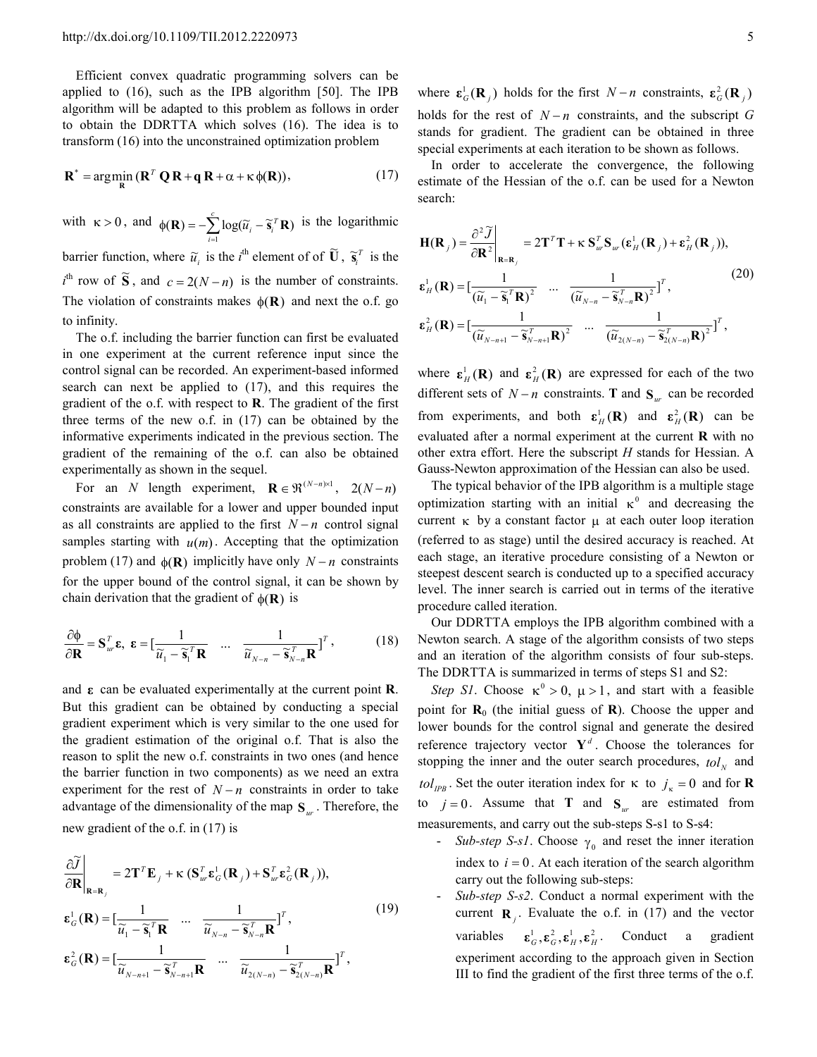Efficient convex quadratic programming solvers can be applied to (16), such as the IPB algorithm [50]. The IPB algorithm will be adapted to this problem as follows in order to obtain the DDRTTA which solves (16). The idea is to transform (16) into the unconstrained optimization problem

$$
\mathbf{R}^* = \arg\min_{\mathbf{R}} \left( \mathbf{R}^T \mathbf{Q} \mathbf{R} + \mathbf{q} \mathbf{R} + \alpha + \kappa \phi(\mathbf{R}) \right),\tag{17}
$$

with  $\kappa > 0$ , and  $\phi(\mathbf{R}) = -\sum_{i=1}^{c} \log(\widetilde{u}_i - \widetilde{v}_i)$ *i*  $\sum_{i}$   $log(\widetilde{u}_{i} - \widetilde{s}_{i}^{T})$  $({\bf R}) = -\sum_{i=1}^{k} \log(\tilde{u}_i - \tilde{s}_i^T {\bf R})$  is the logarithmic barrier function, where  $\tilde{u}_i$  is the *i*<sup>th</sup> element of of  $\tilde{U}$ ,  $\tilde{\mathbf{s}}_i^T$  is the  $i^{\text{th}}$  row of  $\tilde{S}$ , and *c* = 2(*N* − *n*) is the number of constraints. The violation of constraints makes  $\phi(\mathbf{R})$  and next the o.f. go to infinity.

The o.f. including the barrier function can first be evaluated in one experiment at the current reference input since the control signal can be recorded. An experiment-based informed search can next be applied to (17), and this requires the gradient of the o.f. with respect to **R**. The gradient of the first three terms of the new o.f. in (17) can be obtained by the informative experiments indicated in the previous section. The gradient of the remaining of the o.f. can also be obtained experimentally as shown in the sequel.

For an *N* length experiment,  $\mathbf{R} \in \mathfrak{R}^{(N-n)\times 1}$ , 2(*N* − *n*) constraints are available for a lower and upper bounded input as all constraints are applied to the first *N* − *n* control signal samples starting with  $u(m)$ . Accepting that the optimization problem (17) and  $\phi(\mathbf{R})$  implicitly have only  $N - n$  constraints for the upper bound of the control signal, it can be shown by chain derivation that the gradient of  $\phi(\mathbf{R})$  is

$$
\frac{\partial \Phi}{\partial \mathbf{R}} = \mathbf{S}_{ur}^T \mathbf{\varepsilon}, \ \mathbf{\varepsilon} = \left[ \frac{1}{\widetilde{u}_1 - \widetilde{\mathbf{s}}_1^T \mathbf{R}} \quad \cdots \quad \frac{1}{\widetilde{u}_{N-n} - \widetilde{\mathbf{s}}_{N-n}^T \mathbf{R}} \right]^T, \tag{18}
$$

and **ε** can be evaluated experimentally at the current point **R**. But this gradient can be obtained by conducting a special gradient experiment which is very similar to the one used for the gradient estimation of the original o.f. That is also the reason to split the new o.f. constraints in two ones (and hence the barrier function in two components) as we need an extra experiment for the rest of  $N - n$  constraints in order to take advantage of the dimensionality of the map **S***ur* . Therefore, the new gradient of the o.f. in (17) is

$$
\frac{\partial \widetilde{J}}{\partial \mathbf{R}}\Big|_{\mathbf{R}=\mathbf{R}_{j}} = 2\mathbf{T}^{T}\mathbf{E}_{j} + \kappa \left(\mathbf{S}_{w}^{T}\boldsymbol{\varepsilon}_{G}^{1}(\mathbf{R}_{j}) + \mathbf{S}_{w}^{T}\boldsymbol{\varepsilon}_{G}^{2}(\mathbf{R}_{j})\right),
$$
\n
$$
\boldsymbol{\varepsilon}_{G}^{1}(\mathbf{R}) = \left[\frac{1}{\widetilde{u}_{1} - \widetilde{\mathbf{s}}_{1}^{T}\mathbf{R}} \quad \cdots \quad \frac{1}{\widetilde{u}_{N-n} - \widetilde{\mathbf{s}}_{N-n}^{T}\mathbf{R}}\right]^{T},
$$
\n
$$
\boldsymbol{\varepsilon}_{G}^{2}(\mathbf{R}) = \left[\frac{1}{\widetilde{u}_{N-n+1} - \widetilde{\mathbf{s}}_{N-n+1}^{T}\mathbf{R}} \quad \cdots \quad \frac{1}{\widetilde{u}_{2(N-n)} - \widetilde{\mathbf{s}}_{2(N-n)}^{T}\mathbf{R}}\right]^{T},
$$
\n(19)

where  $\epsilon_G^1(\mathbf{R}_j)$  holds for the first *N* − *n* constraints,  $\epsilon_G^2(\mathbf{R}_j)$ holds for the rest of  $N - n$  constraints, and the subscript *G* stands for gradient. The gradient can be obtained in three special experiments at each iteration to be shown as follows.

In order to accelerate the convergence, the following estimate of the Hessian of the o.f. can be used for a Newton search:

$$
\mathbf{H}(\mathbf{R}_{j}) = \frac{\partial^{2} \widetilde{J}}{\partial \mathbf{R}^{2}} \Big|_{\mathbf{R} = \mathbf{R}_{j}} = 2\mathbf{T}^{T} \mathbf{T} + \kappa \mathbf{S}_{ur}^{T} \mathbf{S}_{ur}(\boldsymbol{\varepsilon}_{H}^{1}(\mathbf{R}_{j}) + \boldsymbol{\varepsilon}_{H}^{2}(\mathbf{R}_{j})),
$$
\n
$$
\boldsymbol{\varepsilon}_{H}^{1}(\mathbf{R}) = \left[\frac{1}{(\widetilde{u}_{1} - \widetilde{\mathbf{s}}_{1}^{T} \mathbf{R})^{2}} \cdots \frac{1}{(\widetilde{u}_{N-n} - \widetilde{\mathbf{s}}_{N-n}^{T} \mathbf{R})^{2}}\right]^{T},
$$
\n
$$
\boldsymbol{\varepsilon}_{H}^{2}(\mathbf{R}) = \left[\frac{1}{(\widetilde{u}_{N-n+1} - \widetilde{\mathbf{s}}_{N-n+1}^{T} \mathbf{R})^{2}} \cdots \frac{1}{(\widetilde{u}_{2(N-n)} - \widetilde{\mathbf{s}}_{2(N-n)}^{T} \mathbf{R})^{2}}\right]^{T},
$$
\n(20)

where  $\mathbf{\varepsilon}_H^1(\mathbf{R})$  and  $\mathbf{\varepsilon}_H^2(\mathbf{R})$  are expressed for each of the two different sets of  $N - n$  constraints. **T** and  $S_{ur}$  can be recorded from experiments, and both  $\epsilon_H^1(\mathbf{R})$  and  $\epsilon_H^2(\mathbf{R})$  can be evaluated after a normal experiment at the current **R** with no other extra effort. Here the subscript *H* stands for Hessian. A Gauss-Newton approximation of the Hessian can also be used.

The typical behavior of the IPB algorithm is a multiple stage optimization starting with an initial  $\kappa^0$  and decreasing the current  $\kappa$  by a constant factor  $\mu$  at each outer loop iteration (referred to as stage) until the desired accuracy is reached. At each stage, an iterative procedure consisting of a Newton or steepest descent search is conducted up to a specified accuracy level. The inner search is carried out in terms of the iterative procedure called iteration.

Our DDRTTA employs the IPB algorithm combined with a Newton search. A stage of the algorithm consists of two steps and an iteration of the algorithm consists of four sub-steps. The DDRTTA is summarized in terms of steps S1 and S2:

*Step S1*. Choose  $\kappa^0 > 0$ ,  $\mu > 1$ , and start with a feasible point for  $\mathbf{R}_{0}$  (the initial guess of  $\mathbf{R}$ ). Choose the upper and lower bounds for the control signal and generate the desired reference trajectory vector  $Y^d$ . Choose the tolerances for stopping the inner and the outer search procedures,  $tol<sub>N</sub>$  and *Iol*<sub>IPB</sub>. Set the outer iteration index for  $\kappa$  to  $j_{\kappa} = 0$  and for **R** to  $j = 0$ . Assume that **T** and **S**<sub>*ur*</sub> are estimated from measurements, and carry out the sub-steps S-s1 to S-s4:

- *Sub-step S-s1*. Choose  $\gamma_0$  and reset the inner iteration index to  $i = 0$ . At each iteration of the search algorithm carry out the following sub-steps:
- Sub-step S-s2. Conduct a normal experiment with the current  $\mathbf{R}_j$ . Evaluate the o.f. in (17) and the vector variables  $\mathbf{\varepsilon}_{G}^1$ ,  $\mathbf{\varepsilon}_{G}^2$ ,  $\mathbf{\varepsilon}_{H}^1$ ,  $\mathbf{\varepsilon}_{H}^2$ . Conduct a gradient experiment according to the approach given in Section III to find the gradient of the first three terms of the o.f.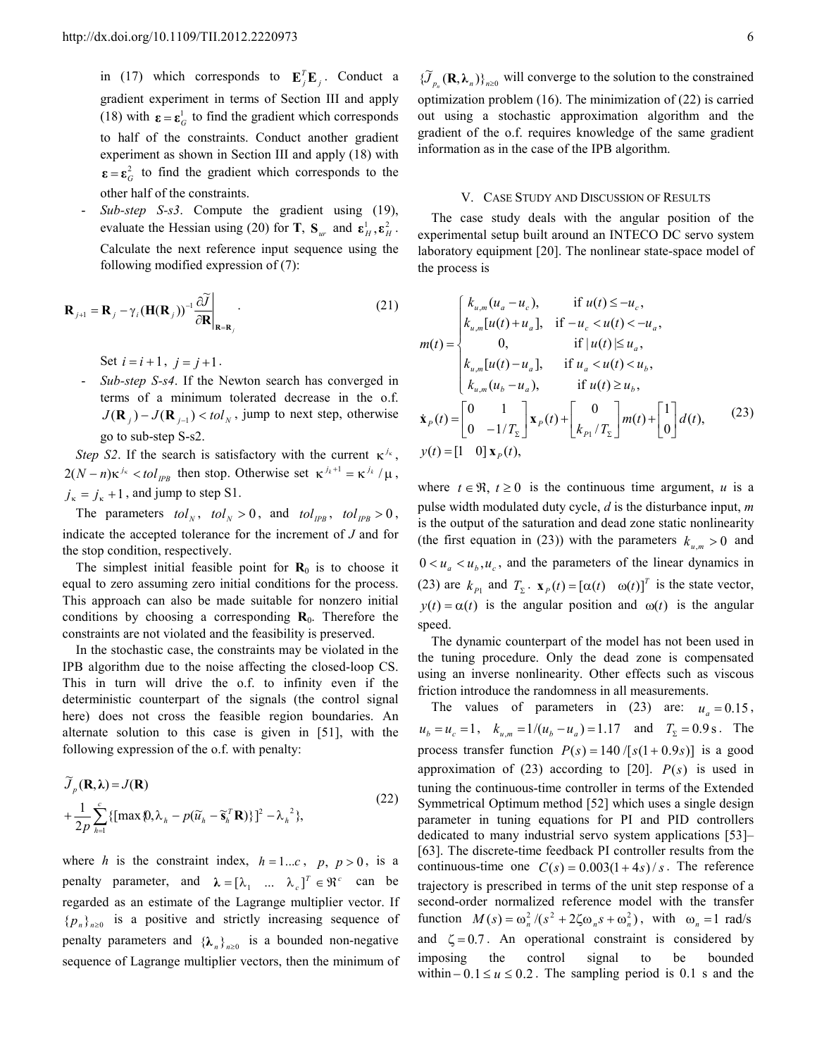in (17) which corresponds to  $\mathbf{E}_j^T \mathbf{E}_j$ . Conduct a gradient experiment in terms of Section III and apply (18) with  $\mathbf{\varepsilon} = \mathbf{\varepsilon}_G^1$  to find the gradient which corresponds to half of the constraints. Conduct another gradient experiment as shown in Section III and apply (18) with  $\epsilon = \epsilon_G^2$  to find the gradient which corresponds to the other half of the constraints.

Sub-step S-s3. Compute the gradient using (19), evaluate the Hessian using (20) for **T**,  $S_{ur}$  and  $\epsilon_H^1, \epsilon_H^2$ . Calculate the next reference input sequence using the following modified expression of (7):

$$
\mathbf{R}_{j+1} = \mathbf{R}_{j} - \gamma_{i} (\mathbf{H}(\mathbf{R}_{j}))^{-1} \frac{\partial \widetilde{J}}{\partial \mathbf{R}} \bigg|_{\mathbf{R} = \mathbf{R}_{j}}
$$
(21)

Set  $i = i + 1$ ,  $j = j + 1$ .

- *Sub-step S-s4*. If the Newton search has converged in terms of a minimum tolerated decrease in the o.f.  $J(\mathbf{R}_j) - J(\mathbf{R}_{j-1}) < tol_N$ , jump to next step, otherwise go to sub-step S-s2.

*Step S2*. If the search is satisfactory with the current  $\kappa^{j_{\kappa}}$ ,  $2(N-n)\kappa^{j_{\kappa}} < tol_{IPB}$  then stop. Otherwise set  $\kappa^{j_{k}+1} = \kappa^{j_{k}}/\mu$ ,  $j_{\kappa} = j_{\kappa} + 1$ , and jump to step S1.

The parameters  $tol_N$ ,  $tol_N > 0$ , and  $tol_{IPB}$ ,  $tol_{IPB} > 0$ , indicate the accepted tolerance for the increment of *J* and for the stop condition, respectively.

The simplest initial feasible point for  $\mathbf{R}_{0}$  is to choose it equal to zero assuming zero initial conditions for the process. This approach can also be made suitable for nonzero initial conditions by choosing a corresponding  $\mathbf{R}_0$ . Therefore the constraints are not violated and the feasibility is preserved.

In the stochastic case, the constraints may be violated in the IPB algorithm due to the noise affecting the closed-loop CS. This in turn will drive the o.f. to infinity even if the deterministic counterpart of the signals (the control signal here) does not cross the feasible region boundaries. An alternate solution to this case is given in [51], with the following expression of the o.f. with penalty:

$$
\widetilde{J}_p(\mathbf{R}, \lambda) = J(\mathbf{R})
$$
\n
$$
+ \frac{1}{2p} \sum_{h=1}^c \{ [\max \{0, \lambda_h - p(\widetilde{u}_h - \widetilde{\mathbf{s}}_h^T \mathbf{R})\}]^2 - \lambda_h^2 \},
$$
\n(22)

where *h* is the constraint index,  $h = 1...c$ ,  $p, p > 0$ , is a penalty parameter, and  $\lambda = [\lambda_1 \dots \lambda_c]^T \in \mathbb{R}^c$  can be regarded as an estimate of the Lagrange multiplier vector. If  ${p_n}_{n\geq0}$  is a positive and strictly increasing sequence of penalty parameters and  $\{\lambda_n\}_{n\geq 0}$  is a bounded non-negative sequence of Lagrange multiplier vectors, then the minimum of

 $\{\widetilde{J}_{p_n}(\mathbf{R}, \lambda_n)\}_{n\geq 0}$  will converge to the solution to the constrained optimization problem (16). The minimization of (22) is carried out using a stochastic approximation algorithm and the gradient of the o.f. requires knowledge of the same gradient information as in the case of the IPB algorithm.

#### V. CASE STUDY AND DISCUSSION OF RESULTS

The case study deals with the angular position of the experimental setup built around an INTECO DC servo system laboratory equipment [20]. The nonlinear state-space model of the process is

$$
m(t) = \begin{cases} k_{u,m}(u_a - u_c), & \text{if } u(t) \le -u_c, \\ k_{u,m}[u(t) + u_a], & \text{if } -u_c < u(t) < -u_a, \\ 0, & \text{if } |u(t) | \le u_a, \\ k_{u,m}[u(t) - u_a], & \text{if } u_a < u(t) < u_b, \\ k_{u,m}(u_b - u_a), & \text{if } u(t) \ge u_b, \\ \mathbf{x}_P(t) = \begin{bmatrix} 0 & 1 \\ 0 & -1/T_{\Sigma} \end{bmatrix} \mathbf{x}_P(t) + \begin{bmatrix} 0 \\ k_{P1}/T_{\Sigma} \end{bmatrix} m(t) + \begin{bmatrix} 1 \\ 0 \end{bmatrix} d(t), \end{cases} \tag{23}
$$
\n
$$
y(t) = \begin{bmatrix} 1 & 0 \end{bmatrix} \mathbf{x}_P(t),
$$

where  $t \in \mathfrak{R}$ ,  $t \geq 0$  is the continuous time argument, *u* is a pulse width modulated duty cycle, *d* is the disturbance input, *m* is the output of the saturation and dead zone static nonlinearity (the first equation in (23)) with the parameters  $k_{u_m} > 0$  and  $0 < u_a < u_b, u_c$ , and the parameters of the linear dynamics in (23) are  $k_{P1}$  and  $T_{\Sigma}$ .  $\mathbf{x}_P(t) = [\alpha(t) \quad \omega(t)]^T$  is the state vector,  $y(t) = \alpha(t)$  is the angular position and  $\omega(t)$  is the angular speed.

The dynamic counterpart of the model has not been used in the tuning procedure. Only the dead zone is compensated using an inverse nonlinearity. Other effects such as viscous friction introduce the randomness in all measurements.

The values of parameters in (23) are:  $u_a = 0.15$ ,  $u_b = u_c = 1$ ,  $k_{u,m} = 1/(u_b - u_a) = 1.17$  and  $T_{\Sigma} = 0.9$  s. The process transfer function  $P(s) = 140 / [s(1 + 0.9s)]$  is a good approximation of (23) according to [20].  $P(s)$  is used in tuning the continuous-time controller in terms of the Extended Symmetrical Optimum method [52] which uses a single design parameter in tuning equations for PI and PID controllers dedicated to many industrial servo system applications [53]– [63]. The discrete-time feedback PI controller results from the continuous-time one  $C(s) = 0.003(1+4s)/s$ . The reference trajectory is prescribed in terms of the unit step response of a second-order normalized reference model with the transfer function  $M(s) = \omega_n^2 / (s^2 + 2\zeta \omega_n s + \omega_n^2)$ , with  $\omega_n = 1$  rad/s and  $\zeta = 0.7$ . An operational constraint is considered by imposing the control signal to be bounded within  $-0.1 \le u \le 0.2$ . The sampling period is 0.1 s and the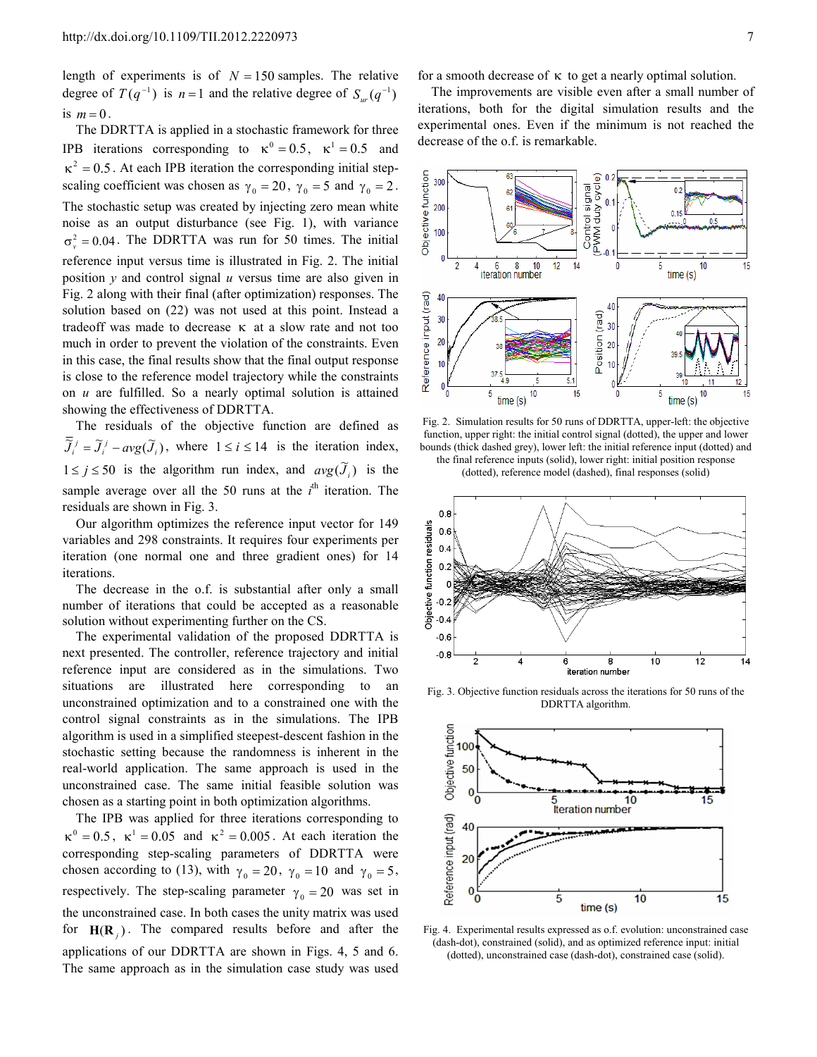length of experiments is of  $N = 150$  samples. The relative degree of  $T(q^{-1})$  is  $n=1$  and the relative degree of  $S_{ur}(q^{-1})$ is  $m = 0$ .

The DDRTTA is applied in a stochastic framework for three IPB iterations corresponding to  $\kappa^0 = 0.5$ ,  $\kappa^1 = 0.5$  and  $\kappa^2 = 0.5$ . At each IPB iteration the corresponding initial stepscaling coefficient was chosen as  $\gamma_0 = 20$ ,  $\gamma_0 = 5$  and  $\gamma_0 = 2$ . The stochastic setup was created by injecting zero mean white noise as an output disturbance (see Fig. 1), with variance  $\sigma_v^2 = 0.04$ . The DDRTTA was run for 50 times. The initial reference input versus time is illustrated in Fig. 2. The initial position *y* and control signal *u* versus time are also given in Fig. 2 along with their final (after optimization) responses. The solution based on (22) was not used at this point. Instead a tradeoff was made to decrease κ at a slow rate and not too much in order to prevent the violation of the constraints. Even in this case, the final results show that the final output response is close to the reference model trajectory while the constraints on *u* are fulfilled. So a nearly optimal solution is attained showing the effectiveness of DDRTTA.

The residuals of the objective function are defined as  $\overline{J}_i^j = \overline{J}_i^j - avg(\overline{J}_i)$ , where  $1 \le i \le 14$  is the iteration index, 1 ≤ *j* ≤ 50 is the algorithm run index, and  $avg(\tilde{J}_i)$  is the sample average over all the 50 runs at the  $i<sup>th</sup>$  iteration. The residuals are shown in Fig. 3.

Our algorithm optimizes the reference input vector for 149 variables and 298 constraints. It requires four experiments per iteration (one normal one and three gradient ones) for 14 iterations.

The decrease in the o.f. is substantial after only a small number of iterations that could be accepted as a reasonable solution without experimenting further on the CS.

The experimental validation of the proposed DDRTTA is next presented. The controller, reference trajectory and initial reference input are considered as in the simulations. Two situations are illustrated here corresponding to an unconstrained optimization and to a constrained one with the control signal constraints as in the simulations. The IPB algorithm is used in a simplified steepest-descent fashion in the stochastic setting because the randomness is inherent in the real-world application. The same approach is used in the unconstrained case. The same initial feasible solution was chosen as a starting point in both optimization algorithms.

The IPB was applied for three iterations corresponding to  $\kappa^0 = 0.5$ ,  $\kappa^1 = 0.05$  and  $\kappa^2 = 0.005$ . At each iteration the corresponding step-scaling parameters of DDRTTA were chosen according to (13), with  $\gamma_0 = 20$ ,  $\gamma_0 = 10$  and  $\gamma_0 = 5$ , respectively. The step-scaling parameter  $\gamma_0 = 20$  was set in the unconstrained case. In both cases the unity matrix was used for  $H(R_j)$ . The compared results before and after the applications of our DDRTTA are shown in Figs. 4, 5 and 6. The same approach as in the simulation case study was used

for a smooth decrease of  $\kappa$  to get a nearly optimal solution.

The improvements are visible even after a small number of iterations, both for the digital simulation results and the experimental ones. Even if the minimum is not reached the decrease of the o.f. is remarkable.



Fig. 2. Simulation results for 50 runs of DDRTTA, upper-left: the objective function, upper right: the initial control signal (dotted), the upper and lower bounds (thick dashed grey), lower left: the initial reference input (dotted) and the final reference inputs (solid), lower right: initial position response

(dotted), reference model (dashed), final responses (solid)



Fig. 3. Objective function residuals across the iterations for 50 runs of the DDRTTA algorithm.



Fig. 4. Experimental results expressed as o.f. evolution: unconstrained case (dash-dot), constrained (solid), and as optimized reference input: initial (dotted), unconstrained case (dash-dot), constrained case (solid).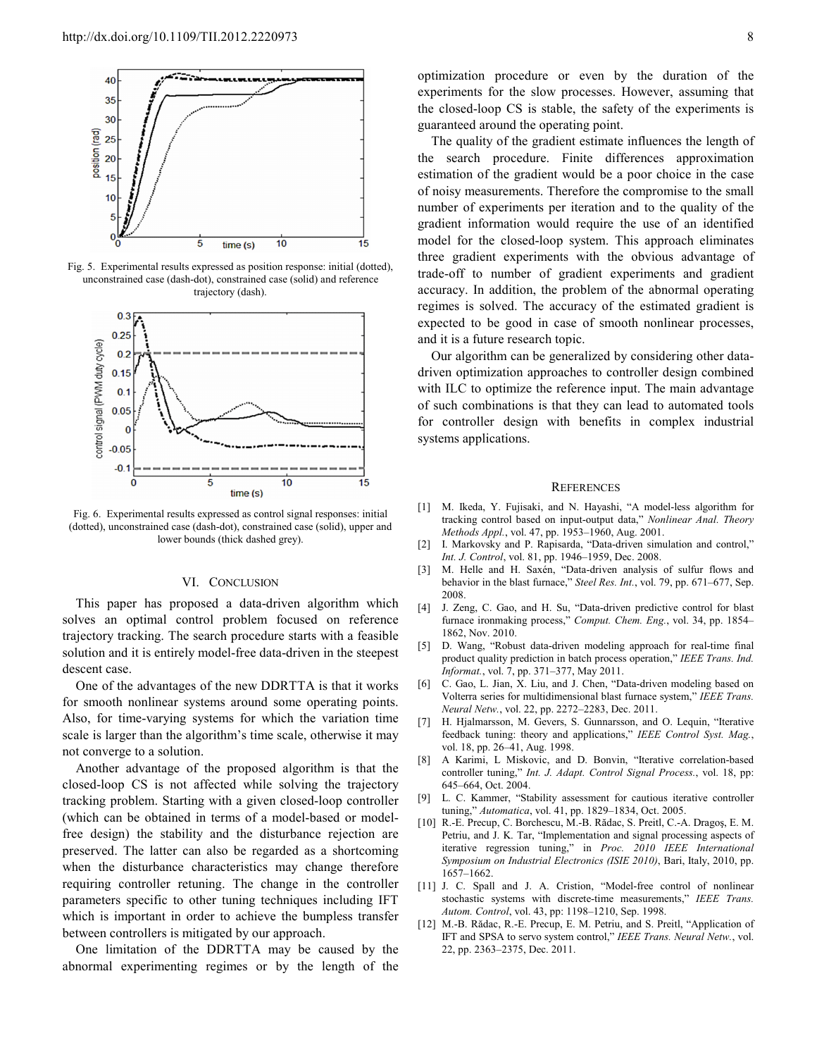

Fig. 5. Experimental results expressed as position response: initial (dotted), unconstrained case (dash-dot), constrained case (solid) and reference trajectory (dash).



Fig. 6. Experimental results expressed as control signal responses: initial (dotted), unconstrained case (dash-dot), constrained case (solid), upper and lower bounds (thick dashed grey).

#### VI. CONCLUSION

This paper has proposed a data-driven algorithm which solves an optimal control problem focused on reference trajectory tracking. The search procedure starts with a feasible solution and it is entirely model-free data-driven in the steepest descent case.

One of the advantages of the new DDRTTA is that it works for smooth nonlinear systems around some operating points. Also, for time-varying systems for which the variation time scale is larger than the algorithm's time scale, otherwise it may not converge to a solution.

Another advantage of the proposed algorithm is that the closed-loop CS is not affected while solving the trajectory tracking problem. Starting with a given closed-loop controller (which can be obtained in terms of a model-based or modelfree design) the stability and the disturbance rejection are preserved. The latter can also be regarded as a shortcoming when the disturbance characteristics may change therefore requiring controller retuning. The change in the controller parameters specific to other tuning techniques including IFT which is important in order to achieve the bumpless transfer between controllers is mitigated by our approach.

One limitation of the DDRTTA may be caused by the abnormal experimenting regimes or by the length of the optimization procedure or even by the duration of the experiments for the slow processes. However, assuming that the closed-loop CS is stable, the safety of the experiments is guaranteed around the operating point.

The quality of the gradient estimate influences the length of the search procedure. Finite differences approximation estimation of the gradient would be a poor choice in the case of noisy measurements. Therefore the compromise to the small number of experiments per iteration and to the quality of the gradient information would require the use of an identified model for the closed-loop system. This approach eliminates three gradient experiments with the obvious advantage of trade-off to number of gradient experiments and gradient accuracy. In addition, the problem of the abnormal operating regimes is solved. The accuracy of the estimated gradient is expected to be good in case of smooth nonlinear processes, and it is a future research topic.

Our algorithm can be generalized by considering other datadriven optimization approaches to controller design combined with ILC to optimize the reference input. The main advantage of such combinations is that they can lead to automated tools for controller design with benefits in complex industrial systems applications.

#### **REFERENCES**

- [1] M. Ikeda, Y. Fujisaki, and N. Hayashi, "A model-less algorithm for tracking control based on input-output data," *Nonlinear Anal. Theory Methods Appl.*, vol. 47, pp. 1953–1960, Aug. 2001.
- [2] I. Markovsky and P. Rapisarda, "Data-driven simulation and control," *Int. J. Control*, vol. 81, pp. 1946–1959, Dec. 2008.
- [3] M. Helle and H. Saxén, "Data-driven analysis of sulfur flows and behavior in the blast furnace," *Steel Res. Int.*, vol. 79, pp. 671–677, Sep. 2008.
- [4] J. Zeng, C. Gao, and H. Su, "Data-driven predictive control for blast furnace ironmaking process," *Comput. Chem. Eng.*, vol. 34, pp. 1854– 1862, Nov. 2010.
- [5] D. Wang, "Robust data-driven modeling approach for real-time final product quality prediction in batch process operation," *IEEE Trans. Ind. Informat.*, vol. 7, pp. 371–377, May 2011.
- [6] C. Gao, L. Jian, X. Liu, and J. Chen, "Data-driven modeling based on Volterra series for multidimensional blast furnace system," *IEEE Trans. Neural Netw.*, vol. 22, pp. 2272–2283, Dec. 2011.
- [7] H. Hjalmarsson, M. Gevers, S. Gunnarsson, and O. Lequin, "Iterative feedback tuning: theory and applications," *IEEE Control Syst. Mag.*, vol. 18, pp. 26–41, Aug. 1998.
- [8] A Karimi, L Miskovic, and D. Bonvin, "Iterative correlation-based controller tuning," *Int. J. Adapt. Control Signal Process.*, vol. 18, pp: 645–664, Oct. 2004.
- [9] L. C. Kammer, "Stability assessment for cautious iterative controller tuning," *Automatica*, vol. 41, pp. 1829–1834, Oct. 2005.
- [10] R.-E. Precup, C. Borchescu, M.-B. Rădac, S. Preitl, C.-A. Dragoş, E. M. Petriu, and J. K. Tar, "Implementation and signal processing aspects of iterative regression tuning," in *Proc. 2010 IEEE International Symposium on Industrial Electronics (ISIE 2010)*, Bari, Italy, 2010, pp. 1657–1662.
- [11] J. C. Spall and J. A. Cristion, "Model-free control of nonlinear stochastic systems with discrete-time measurements," *IEEE Trans. Autom. Control*, vol. 43, pp: 1198–1210, Sep. 1998.
- [12] M.-B. Rădac, R.-E. Precup, E. M. Petriu, and S. Preitl, "Application of IFT and SPSA to servo system control," *IEEE Trans. Neural Netw.*, vol. 22, pp. 2363–2375, Dec. 2011.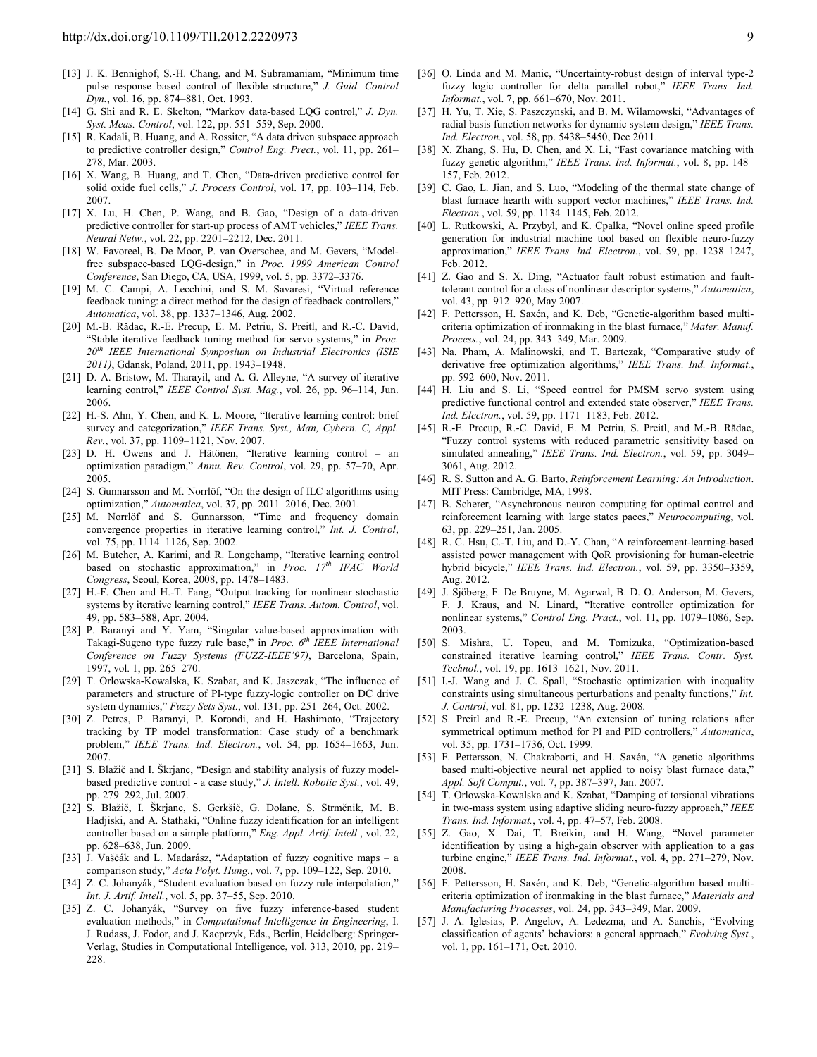- [13] J. K. Bennighof, S.-H. Chang, and M. Subramaniam, "Minimum time pulse response based control of flexible structure," *J. Guid. Control Dyn.*, vol. 16, pp. 874–881, Oct. 1993.
- [14] G. Shi and R. E. Skelton, "Markov data-based LQG control," *J. Dyn. Syst. Meas. Control*, vol. 122, pp. 551–559, Sep. 2000.
- [15] R. Kadali, B. Huang, and A. Rossiter, "A data driven subspace approach to predictive controller design," *Control Eng. Prect.*, vol. 11, pp. 261– 278, Mar. 2003.
- [16] X. Wang, B. Huang, and T. Chen, "Data-driven predictive control for solid oxide fuel cells," *J. Process Control*, vol. 17, pp. 103–114, Feb. 2007.
- [17] X. Lu, H. Chen, P. Wang, and B. Gao, "Design of a data-driven predictive controller for start-up process of AMT vehicles," *IEEE Trans. Neural Netw.*, vol. 22, pp. 2201–2212, Dec. 2011.
- [18] W. Favoreel, B. De Moor, P. van Overschee, and M. Gevers, "Modelfree subspace-based LQG-design," in *Proc. 1999 American Control Conference*, San Diego, CA, USA, 1999, vol. 5, pp. 3372–3376.
- [19] M. C. Campi, A. Lecchini, and S. M. Savaresi, "Virtual reference feedback tuning: a direct method for the design of feedback controllers," *Automatica*, vol. 38, pp. 1337–1346, Aug. 2002.
- [20] M.-B. Rădac, R.-E. Precup, E. M. Petriu, S. Preitl, and R.-C. David, "Stable iterative feedback tuning method for servo systems," in *Proc. 20th IEEE International Symposium on Industrial Electronics (ISIE 2011)*, Gdansk, Poland, 2011, pp. 1943–1948.
- [21] D. A. Bristow, M. Tharayil, and A. G. Alleyne, "A survey of iterative learning control," *IEEE Control Syst. Mag.*, vol. 26, pp. 96–114, Jun. 2006.
- [22] H.-S. Ahn, Y. Chen, and K. L. Moore, "Iterative learning control: brief survey and categorization," *IEEE Trans. Syst., Man, Cybern. C, Appl. Rev.*, vol. 37, pp. 1109–1121, Nov. 2007.
- [23] D. H. Owens and J. Hätönen, "Iterative learning control an optimization paradigm," *Annu. Rev. Control*, vol. 29, pp. 57–70, Apr. 2005.
- [24] S. Gunnarsson and M. Norrlöf, "On the design of ILC algorithms using optimization," *Automatica*, vol. 37, pp. 2011–2016, Dec. 2001.
- [25] M. Norrlöf and S. Gunnarsson, "Time and frequency domain convergence properties in iterative learning control," *Int. J. Control*, vol. 75, pp. 1114–1126, Sep. 2002.
- [26] M. Butcher, A. Karimi, and R. Longchamp, "Iterative learning control based on stochastic approximation," in *Proc. 17th IFAC World Congress*, Seoul, Korea, 2008, pp. 1478–1483.
- [27] H.-F. Chen and H.-T. Fang, "Output tracking for nonlinear stochastic systems by iterative learning control," *IEEE Trans. Autom. Control*, vol. 49, pp. 583–588, Apr. 2004.
- [28] P. Baranyi and Y. Yam, "Singular value-based approximation with Takagi-Sugeno type fuzzy rule base," in *Proc. 6th IEEE International Conference on Fuzzy Systems (FUZZ-IEEE'97)*, Barcelona, Spain, 1997, vol. 1, pp. 265–270.
- [29] T. Orlowska-Kowalska, K. Szabat, and K. Jaszczak, "The influence of parameters and structure of PI-type fuzzy-logic controller on DC drive system dynamics," *Fuzzy Sets Syst.*, vol. 131, pp. 251–264, Oct. 2002.
- [30] Z. Petres, P. Baranyi, P. Korondi, and H. Hashimoto, "Trajectory tracking by TP model transformation: Case study of a benchmark problem," *IEEE Trans. Ind. Electron.*, vol. 54, pp. 1654–1663, Jun. 2007.
- [31] S. Blažič and I. Škrjanc, "Design and stability analysis of fuzzy modelbased predictive control - a case study," *J. Intell. Robotic Syst.*, vol. 49, pp. 279–292, Jul. 2007.
- [32] S. Blažič, I. Škrjanc, S. Gerkšič, G. Dolanc, S. Strmčnik, M. B. Hadjiski, and A. Stathaki, "Online fuzzy identification for an intelligent controller based on a simple platform," *Eng. Appl. Artif. Intell.*, vol. 22, pp. 628–638, Jun. 2009.
- [33] J. Vaščák and L. Madarász, "Adaptation of fuzzy cognitive maps a comparison study," *Acta Polyt. Hung.*, vol. 7, pp. 109–122, Sep. 2010.
- [34] Z. C. Johanyák, "Student evaluation based on fuzzy rule interpolation," *Int. J. Artif. Intell.*, vol. 5, pp. 37–55, Sep. 2010.
- [35] Z. C. Johanyák, "Survey on five fuzzy inference-based student evaluation methods," in *Computational Intelligence in Engineering*, I. J. Rudass, J. Fodor, and J. Kacprzyk, Eds., Berlin, Heidelberg: Springer-Verlag, Studies in Computational Intelligence, vol. 313, 2010, pp. 219– 228.
- [36] O. Linda and M. Manic, "Uncertainty-robust design of interval type-2 fuzzy logic controller for delta parallel robot," *IEEE Trans. Ind. Informat.*, vol. 7, pp. 661–670, Nov. 2011.
- [37] H. Yu, T. Xie, S. Paszczynski, and B. M. Wilamowski, "Advantages of radial basis function networks for dynamic system design," *IEEE Trans. Ind. Electron.*, vol. 58, pp. 5438–5450, Dec 2011.
- [38] X. Zhang, S. Hu, D. Chen, and X. Li, "Fast covariance matching with fuzzy genetic algorithm," *IEEE Trans. Ind. Informat.*, vol. 8, pp. 148– 157, Feb. 2012.
- [39] C. Gao, L. Jian, and S. Luo, "Modeling of the thermal state change of blast furnace hearth with support vector machines," *IEEE Trans. Ind. Electron.*, vol. 59, pp. 1134–1145, Feb. 2012.
- [40] L. Rutkowski, A. Przybyl, and K. Cpalka, "Novel online speed profile generation for industrial machine tool based on flexible neuro-fuzzy approximation," *IEEE Trans. Ind. Electron.*, vol. 59, pp. 1238–1247, Feb. 2012.
- [41] Z. Gao and S. X. Ding, "Actuator fault robust estimation and faulttolerant control for a class of nonlinear descriptor systems," *Automatica*, vol. 43, pp. 912–920, May 2007.
- [42] F. Pettersson, H. Saxén, and K. Deb, "Genetic-algorithm based multicriteria optimization of ironmaking in the blast furnace," *Mater. Manuf. Process.*, vol. 24, pp. 343–349, Mar. 2009.
- [43] Na. Pham, A. Malinowski, and T. Bartczak, "Comparative study of derivative free optimization algorithms," *IEEE Trans. Ind. Informat.*, pp. 592–600, Nov. 2011.
- [44] H. Liu and S. Li, "Speed control for PMSM servo system using predictive functional control and extended state observer," *IEEE Trans. Ind. Electron.*, vol. 59, pp. 1171–1183, Feb. 2012.
- [45] R.-E. Precup, R.-C. David, E. M. Petriu, S. Preitl, and M.-B. Rădac, "Fuzzy control systems with reduced parametric sensitivity based on simulated annealing," *IEEE Trans. Ind. Electron.*, vol. 59, pp. 3049– 3061, Aug. 2012.
- [46] R. S. Sutton and A. G. Barto, *Reinforcement Learning: An Introduction*. MIT Press: Cambridge, MA, 1998.
- [47] B. Scherer, "Asynchronous neuron computing for optimal control and reinforcement learning with large states paces," *Neurocomputing*, vol. 63, pp. 229–251, Jan. 2005.
- [48] R. C. Hsu, C.-T. Liu, and D.-Y. Chan, "A reinforcement-learning-based assisted power management with QoR provisioning for human-electric hybrid bicycle," *IEEE Trans. Ind. Electron.*, vol. 59, pp. 3350–3359, Aug. 2012.
- [49] J. Sjöberg, F. De Bruyne, M. Agarwal, B. D. O. Anderson, M. Gevers, F. J. Kraus, and N. Linard, "Iterative controller optimization for nonlinear systems," *Control Eng. Pract.*, vol. 11, pp. 1079–1086, Sep. 2003.
- [50] S. Mishra, U. Topcu, and M. Tomizuka, "Optimization-based constrained iterative learning control," *IEEE Trans. Contr. Syst. Technol.*, vol. 19, pp. 1613–1621, Nov. 2011.
- [51] I.-J. Wang and J. C. Spall, "Stochastic optimization with inequality constraints using simultaneous perturbations and penalty functions," *Int. J. Control*, vol. 81, pp. 1232–1238, Aug. 2008.
- [52] S. Preitl and R.-E. Precup, "An extension of tuning relations after symmetrical optimum method for PI and PID controllers," *Automatica*, vol. 35, pp. 1731–1736, Oct. 1999.
- [53] F. Pettersson, N. Chakraborti, and H. Saxén, "A genetic algorithms based multi-objective neural net applied to noisy blast furnace data," *Appl. Soft Comput.*, vol. 7, pp. 387–397, Jan. 2007.
- [54] T. Orlowska-Kowalska and K. Szabat, "Damping of torsional vibrations in two-mass system using adaptive sliding neuro-fuzzy approach," *IEEE Trans. Ind. Informat.*, vol. 4, pp. 47–57, Feb. 2008.
- [55] Z. Gao, X. Dai, T. Breikin, and H. Wang, "Novel parameter identification by using a high-gain observer with application to a gas turbine engine," *IEEE Trans. Ind. Informat.*, vol. 4, pp. 271–279, Nov. 2008.
- [56] F. Pettersson, H. Saxén, and K. Deb, "Genetic-algorithm based multicriteria optimization of ironmaking in the blast furnace," *Materials and Manufacturing Processes*, vol. 24, pp. 343–349, Mar. 2009.
- [57] J. A. Iglesias, P. Angelov, A. Ledezma, and A. Sanchis, "Evolving classification of agents' behaviors: a general approach," *Evolving Syst.*, vol. 1, pp. 161-171, Oct. 2010.